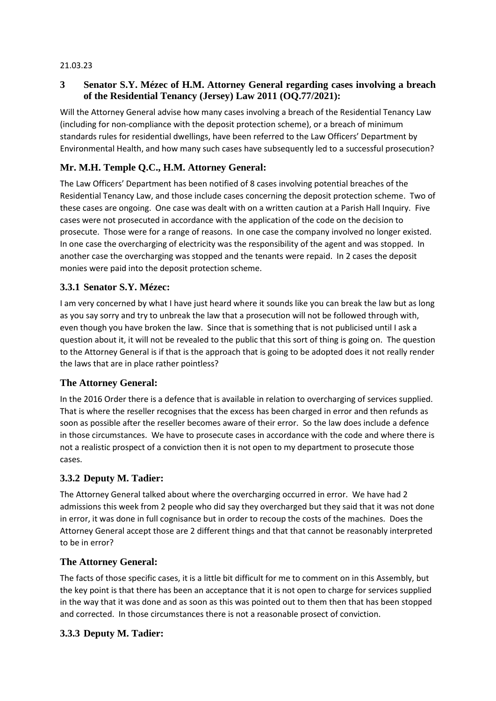#### 21.03.23

## **3 Senator S.Y. Mézec of H.M. Attorney General regarding cases involving a breach of the Residential Tenancy (Jersey) Law 2011 (OQ.77/2021):**

Will the Attorney General advise how many cases involving a breach of the Residential Tenancy Law (including for non-compliance with the deposit protection scheme), or a breach of minimum standards rules for residential dwellings, have been referred to the Law Officers' Department by Environmental Health, and how many such cases have subsequently led to a successful prosecution?

# **Mr. M.H. Temple Q.C., H.M. Attorney General:**

The Law Officers' Department has been notified of 8 cases involving potential breaches of the Residential Tenancy Law, and those include cases concerning the deposit protection scheme. Two of these cases are ongoing. One case was dealt with on a written caution at a Parish Hall Inquiry. Five cases were not prosecuted in accordance with the application of the code on the decision to prosecute. Those were for a range of reasons. In one case the company involved no longer existed. In one case the overcharging of electricity was the responsibility of the agent and was stopped. In another case the overcharging was stopped and the tenants were repaid. In 2 cases the deposit monies were paid into the deposit protection scheme.

## **3.3.1 Senator S.Y. Mézec:**

I am very concerned by what I have just heard where it sounds like you can break the law but as long as you say sorry and try to unbreak the law that a prosecution will not be followed through with, even though you have broken the law. Since that is something that is not publicised until I ask a question about it, it will not be revealed to the public that this sort of thing is going on. The question to the Attorney General is if that is the approach that is going to be adopted does it not really render the laws that are in place rather pointless?

## **The Attorney General:**

In the 2016 Order there is a defence that is available in relation to overcharging of services supplied. That is where the reseller recognises that the excess has been charged in error and then refunds as soon as possible after the reseller becomes aware of their error. So the law does include a defence in those circumstances. We have to prosecute cases in accordance with the code and where there is not a realistic prospect of a conviction then it is not open to my department to prosecute those cases.

## **3.3.2 Deputy M. Tadier:**

The Attorney General talked about where the overcharging occurred in error. We have had 2 admissions this week from 2 people who did say they overcharged but they said that it was not done in error, it was done in full cognisance but in order to recoup the costs of the machines. Does the Attorney General accept those are 2 different things and that that cannot be reasonably interpreted to be in error?

## **The Attorney General:**

The facts of those specific cases, it is a little bit difficult for me to comment on in this Assembly, but the key point is that there has been an acceptance that it is not open to charge for services supplied in the way that it was done and as soon as this was pointed out to them then that has been stopped and corrected. In those circumstances there is not a reasonable prosect of conviction.

## **3.3.3 Deputy M. Tadier:**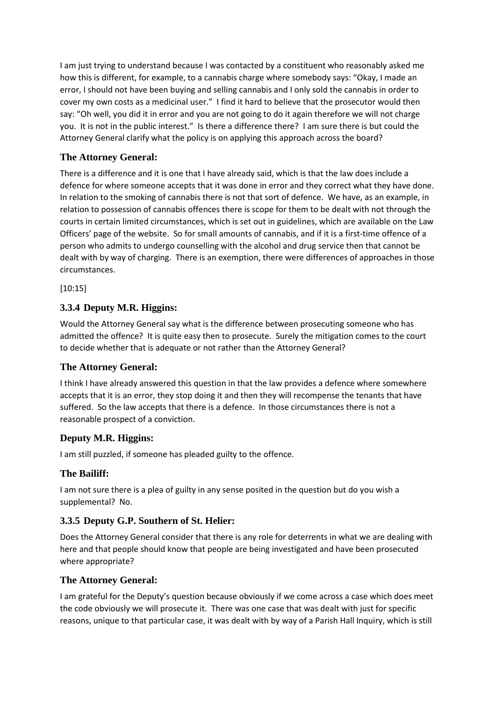I am just trying to understand because I was contacted by a constituent who reasonably asked me how this is different, for example, to a cannabis charge where somebody says: "Okay, I made an error, I should not have been buying and selling cannabis and I only sold the cannabis in order to cover my own costs as a medicinal user." I find it hard to believe that the prosecutor would then say: "Oh well, you did it in error and you are not going to do it again therefore we will not charge you. It is not in the public interest." Is there a difference there? I am sure there is but could the Attorney General clarify what the policy is on applying this approach across the board?

## **The Attorney General:**

There is a difference and it is one that I have already said, which is that the law does include a defence for where someone accepts that it was done in error and they correct what they have done. In relation to the smoking of cannabis there is not that sort of defence. We have, as an example, in relation to possession of cannabis offences there is scope for them to be dealt with not through the courts in certain limited circumstances, which is set out in guidelines, which are available on the Law Officers' page of the website. So for small amounts of cannabis, and if it is a first-time offence of a person who admits to undergo counselling with the alcohol and drug service then that cannot be dealt with by way of charging. There is an exemption, there were differences of approaches in those circumstances.

[10:15]

### **3.3.4 Deputy M.R. Higgins:**

Would the Attorney General say what is the difference between prosecuting someone who has admitted the offence? It is quite easy then to prosecute. Surely the mitigation comes to the court to decide whether that is adequate or not rather than the Attorney General?

### **The Attorney General:**

I think I have already answered this question in that the law provides a defence where somewhere accepts that it is an error, they stop doing it and then they will recompense the tenants that have suffered. So the law accepts that there is a defence. In those circumstances there is not a reasonable prospect of a conviction.

### **Deputy M.R. Higgins:**

I am still puzzled, if someone has pleaded guilty to the offence.

### **The Bailiff:**

I am not sure there is a plea of guilty in any sense posited in the question but do you wish a supplemental? No.

### **3.3.5 Deputy G.P. Southern of St. Helier:**

Does the Attorney General consider that there is any role for deterrents in what we are dealing with here and that people should know that people are being investigated and have been prosecuted where appropriate?

### **The Attorney General:**

I am grateful for the Deputy's question because obviously if we come across a case which does meet the code obviously we will prosecute it. There was one case that was dealt with just for specific reasons, unique to that particular case, it was dealt with by way of a Parish Hall Inquiry, which is still